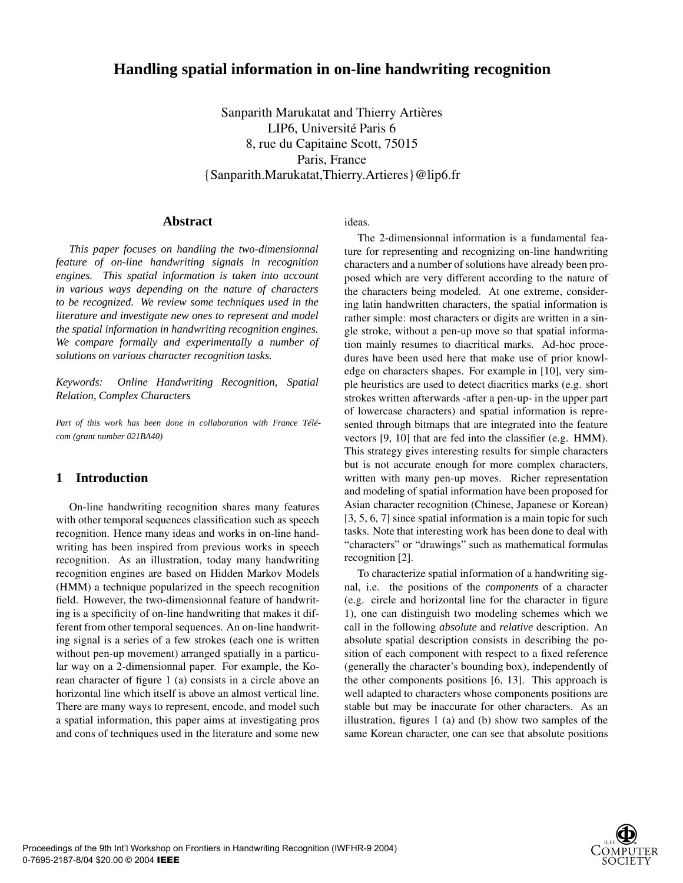# **Handling spatial information in on-line handwriting recognition**

Sanparith Marukatat and Thierry Artières LIP6, Université Paris 6 8, rue du Capitaine Scott, 75015 Paris, France {Sanparith.Marukatat,Thierry.Artieres}@lip6.fr

# **Abstract**

*This paper focuses on handling the two-dimensionnal feature of on-line handwriting signals in recognition engines. This spatial information is taken into account in various ways depending on the nature of characters to be recognized. We review some techniques used in the literature and investigate new ones to represent and model the spatial information in handwriting recognition engines. We compare formally and experimentally a number of solutions on various character recognition tasks.*

*Keywords: Online Handwriting Recognition, Spatial Relation, Complex Characters*

*Part of this work has been done in collaboration with France Télécom (grant number 021BA40)*

# **1 Introduction**

On-line handwriting recognition shares many features with other temporal sequences classification such as speech recognition. Hence many ideas and works in on-line handwriting has been inspired from previous works in speech recognition. As an illustration, today many handwriting recognition engines are based on Hidden Markov Models (HMM) a technique popularized in the speech recognition field. However, the two-dimensionnal feature of handwriting is a specificity of on-line handwriting that makes it different from other temporal sequences. An on-line handwriting signal is a series of a few strokes (each one is written without pen-up movement) arranged spatially in a particular way on a 2-dimensionnal paper. For example, the Korean character of figure 1 (a) consists in a circle above an horizontal line which itself is above an almost vertical line. There are many ways to represent, encode, and model such a spatial information, this paper aims at investigating pros and cons of techniques used in the literature and some new ideas.

The 2-dimensionnal information is a fundamental feature for representing and recognizing on-line handwriting characters and a number of solutions have already been proposed which are very different according to the nature of the characters being modeled. At one extreme, considering latin handwritten characters, the spatial information is rather simple: most characters or digits are written in a single stroke, without a pen-up move so that spatial information mainly resumes to diacritical marks. Ad-hoc procedures have been used here that make use of prior knowledge on characters shapes. For example in [10], very simple heuristics are used to detect diacritics marks (e.g. short strokes written afterwards -after a pen-up- in the upper part of lowercase characters) and spatial information is represented through bitmaps that are integrated into the feature vectors [9, 10] that are fed into the classifier (e.g. HMM). This strategy gives interesting results for simple characters but is not accurate enough for more complex characters, written with many pen-up moves. Richer representation and modeling of spatial information have been proposed for Asian character recognition (Chinese, Japanese or Korean) [3, 5, 6, 7] since spatial information is a main topic for such tasks. Note that interesting work has been done to deal with "characters" or "drawings" such as mathematical formulas recognition [2].

To characterize spatial information of a handwriting signal, i.e. the positions of the *components* of a character (e.g. circle and horizontal line for the character in figure 1), one can distinguish two modeling schemes which we call in the following *absolute* and *relative* description. An absolute spatial description consists in describing the position of each component with respect to a fixed reference (generally the character's bounding box), independently of the other components positions [6, 13]. This approach is well adapted to characters whose components positions are stable but may be inaccurate for other characters. As an illustration, figures 1 (a) and (b) show two samples of the same Korean character, one can see that absolute positions

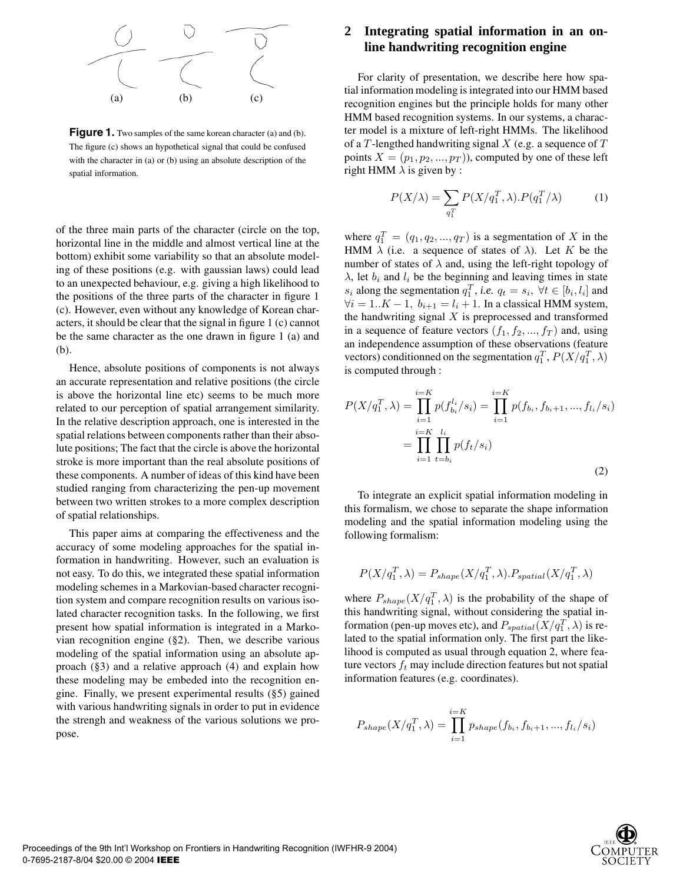

**Figure 1.** Two samples of the same korean character (a) and (b). The figure (c) shows an hypothetical signal that could be confused with the character in (a) or (b) using an absolute description of the spatial information.

of the three main parts of the character (circle on the top, horizontal line in the middle and almost vertical line at the bottom) exhibit some variability so that an absolute modeling of these positions (e.g. with gaussian laws) could lead to an unexpected behaviour, e.g. giving a high likelihood to the positions of the three parts of the character in figure 1 (c). However, even without any knowledge of Korean characters, it should be clear that the signal in figure 1 (c) cannot be the same character as the one drawn in figure 1 (a) and (b).

Hence, absolute positions of components is not always an accurate representation and relative positions (the circle is above the horizontal line etc) seems to be much more related to our perception of spatial arrangement similarity. In the relative description approach, one is interested in the spatial relations between components rather than their absolute positions; The fact that the circle is above the horizontal stroke is more important than the real absolute positions of these components. A number of ideas of this kind have been studied ranging from characterizing the pen-up movement between two written strokes to a more complex description of spatial relationships.

This paper aims at comparing the effectiveness and the accuracy of some modeling approaches for the spatial information in handwriting. However, such an evaluation is not easy. To do this, we integrated these spatial information modeling schemes in a Markovian-based character recognition system and compare recognition results on various isolated character recognition tasks. In the following, we first present how spatial information is integrated in a Markovian recognition engine (§2). Then, we describe various modeling of the spatial information using an absolute approach (§3) and a relative approach (4) and explain how these modeling may be embeded into the recognition engine. Finally, we present experimental results (§5) gained with various handwriting signals in order to put in evidence the strengh and weakness of the various solutions we propose.

# **2 Integrating spatial information in an online handwriting recognition engine**

For clarity of presentation, we describe here how spatial information modeling is integrated into our HMM based recognition engines but the principle holds for many other HMM based recognition systems. In our systems, a character model is a mixture of left-right HMMs. The likelihood of a T-lengthed handwriting signal X (e.g. a sequence of  $T$ points  $X = (p_1, p_2, ..., p_T)$ , computed by one of these left right HMM  $\lambda$  is given by :

$$
P(X/\lambda) = \sum_{q_1^T} P(X/q_1^T, \lambda) \cdot P(q_1^T/\lambda)
$$
 (1)

where  $q_1^T = (q_1, q_2, ..., q_T)$  is a segmentation of X in the<br>HMM  $\lambda$  (i.e., a sequence of states of  $\lambda$ ). Let K be the HMM  $\lambda$  (i.e. a sequence of states of  $\lambda$ ). Let K be the number of states of  $\lambda$  and, using the left-right topology of  $\lambda$ , let  $b_i$  and  $l_i$  be the beginning and leaving times in state  $s_i$  along the segmentation  $q_1^T$ , *i.e.*  $q_t = s_i$ ,  $\forall t \in [b_i, l_i]$  and  $\forall i = 1, K = 1, b_{i,i} = l_i + 1$ . In a classical HMM system  $\forall i = 1..K - 1, b_{i+1} = l_i + 1$ . In a classical HMM system, the handwriting signal  $X$  is preprocessed and transformed in a sequence of feature vectors  $(f_1, f_2, ..., f_T)$  and, using an independence assumption of these observations (feature vectors) conditionned on the segmentation  $q_1^T$ ,  $P(X/q_1^T, \lambda)$ <br>is computed through is computed through :

$$
P(X/q_1^T, \lambda) = \prod_{i=1}^{i=K} p(f_{b_i}^{l_i}/s_i) = \prod_{i=1}^{i=K} p(f_{b_i}, f_{b_i+1}, ..., f_{l_i}/s_i)
$$
  
= 
$$
\prod_{i=1}^{i=K} \prod_{t=b_i}^{l_i} p(f_t/s_i)
$$
 (2)

To integrate an explicit spatial information modeling in this formalism, we chose to separate the shape information modeling and the spatial information modeling using the following formalism:

$$
P(X/q_1^T, \lambda) = P_{shape}(X/q_1^T, \lambda).P_{spatial}(X/q_1^T, \lambda)
$$

where  $P_{shape}(X/q_1^T, \lambda)$  is the probability of the shape of this handwriting signal, without considering the spatial inthis handwriting signal, without considering the spatial information (pen-up moves etc), and  $P_{spatial}(X/q_1^T, \lambda)$  is re-<br>lated to the spatial information only. The first part the likelated to the spatial information only. The first part the likelihood is computed as usual through equation 2, where feature vectors  $f_t$  may include direction features but not spatial information features (e.g. coordinates).

$$
P_{shape}(X/q_1^T, \lambda) = \prod_{i=1}^{i=K} p_{shape}(f_{b_i}, f_{b_i+1}, ..., f_{l_i}/s_i)
$$

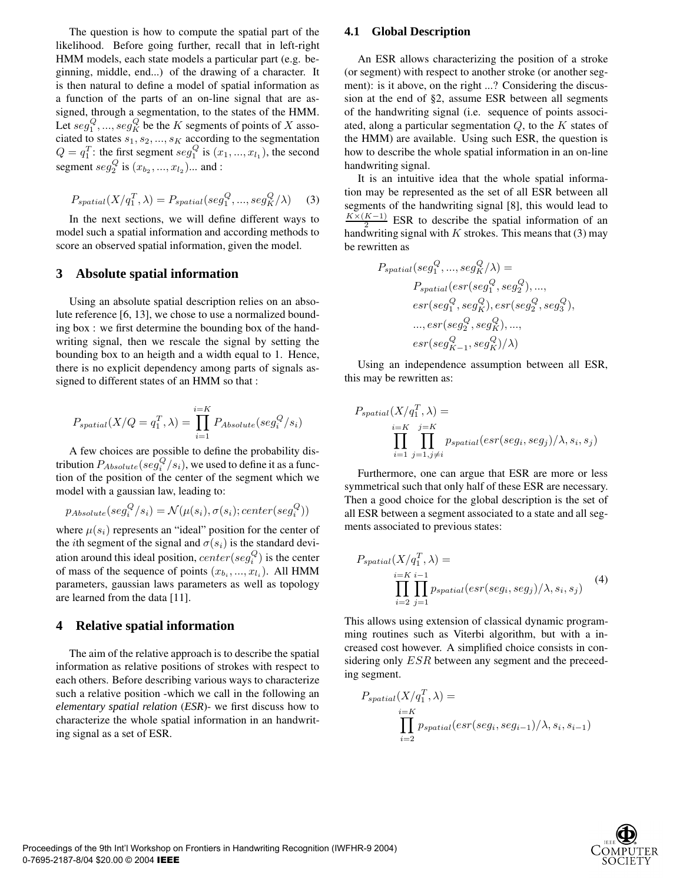The question is how to compute the spatial part of the likelihood. Before going further, recall that in left-right HMM models, each state models a particular part (e.g. beginning, middle, end...) of the drawing of a character. It is then natural to define a model of spatial information as a function of the parts of an on-line signal that are assigned, through a segmentation, to the states of the HMM. Let  $seg_1^Q, ..., seg_K^Q$  be the K segments of points of X asso-<br>ciated to states  $s_1$ , so see SK according to the segmentation ciated to states  $s_1, s_2, ..., s_K$  according to the segmentation  $Q = q_1^T$ : the first segment  $seg_1^Q$  is  $(x_1, ..., x_{l_1})$ , the second segment  $seg_2^Q$  is  $(x_{b_2}, ..., x_{l_2})...$  and :

$$
P_{spatial}(X/q_1^T, \lambda) = P_{spatial}(seg_1^Q, ..., seg_K^Q/\lambda)
$$
 (3)

In the next sections, we will define different ways to model such a spatial information and according methods to score an observed spatial information, given the model.

### **3 Absolute spatial information**

Using an absolute spatial description relies on an absolute reference [6, 13], we chose to use a normalized bounding box : we first determine the bounding box of the handwriting signal, then we rescale the signal by setting the bounding box to an heigth and a width equal to 1. Hence, there is no explicit dependency among parts of signals assigned to different states of an HMM so that :

$$
P_{spatial}(X/Q = q_1^T, \lambda) = \prod_{i=1}^{i=K} P_{Absolute}(seg_i^Q/s_i)
$$

A few choices are possible to define the probability distribution  $P_{Absolute}(seg^Q_i/s_i)$ , we used to define it as a function of the position of the center of the segment which we tion of the position of the center of the segment which we model with a gaussian law, leading to:

$$
p_{Absolute}(seg_i^Q/s_i) = \mathcal{N}(\mu(s_i), \sigma(s_i); center(seg_i^Q))
$$

where  $\mu(s_i)$  represents an "ideal" position for the center of the *i*th segment of the signal and  $\sigma(s_i)$  is the standard deviation around this ideal position,  $center(seg_i^Q)$  is the center<br>of mass of the sequence of points  $(x_i, y_i)$  All HMM of mass of the sequence of points  $(x_{b_i},...,x_{l_i})$ . All HMM parameters, gaussian laws parameters as well as topology are learned from the data [11].

### **4 Relative spatial information**

The aim of the relative approach is to describe the spatial information as relative positions of strokes with respect to each others. Before describing various ways to characterize such a relative position -which we call in the following an *elementary spatial relation* (*ESR*)- we first discuss how to characterize the whole spatial information in an handwriting signal as a set of ESR.

#### **4.1 Global Description**

An ESR allows characterizing the position of a stroke (or segment) with respect to another stroke (or another segment): is it above, on the right ...? Considering the discussion at the end of §2, assume ESR between all segments of the handwriting signal (i.e. sequence of points associated, along a particular segmentation  $Q$ , to the K states of the HMM) are available. Using such ESR, the question is how to describe the whole spatial information in an on-line handwriting signal.

It is an intuitive idea that the whole spatial information may be represented as the set of all ESR between all segments of the handwriting signal [8], this would lead to  $\frac{K \times (K-1)}{2}$  **ESR** to describe the spatial information of an handwriting signal with  $K$  strokes. This means that (3) may be rewritten as

$$
P_{spatial}(seg_1^Q, ..., seg_K^Q/\lambda) =
$$
  
\n
$$
P_{spatial}(esr(seg_1^Q, seg_2^Q), ...,
$$
  
\n
$$
esr(seg_1^Q, seg_K^Q), esr(seg_2^Q, seg_3^Q),
$$
  
\n
$$
..., esr(seg_2^Q, seg_K^Q), ...,
$$
  
\n
$$
esr(seg_{K-1}^Q, seg_K^Q)/\lambda)
$$

Using an independence assumption between all ESR, this may be rewritten as:

$$
P_{spatial}(X/q_1^T, \lambda) = \prod_{\substack{i=K \ j=K}}^{i=K} \prod_{j=1, j\neq i}^{j=K} p_{spatial}(esr(seg_i, seg_j)/\lambda, s_i, s_j)
$$

Furthermore, one can argue that ESR are more or less symmetrical such that only half of these ESR are necessary. Then a good choice for the global description is the set of all ESR between a segment associated to a state and all segments associated to previous states:

$$
P_{spatial}(X/q_1^T, \lambda) = \prod_{i=K \ i-1}^{i=K \ i-1} p_{spatial}(esr(seg_i, seg_j)/\lambda, s_i, s_j)
$$
 (4)

This allows using extension of classical dynamic programming routines such as Viterbi algorithm, but with a increased cost however. A simplified choice consists in considering only ESR between any segment and the preceeding segment.

$$
P_{spatial}(X/q_1^T, \lambda) = \prod_{i=K}^{i=K} p_{spatial}(esr(seg_i, seg_{i-1})/\lambda, s_i, s_{i-1})
$$

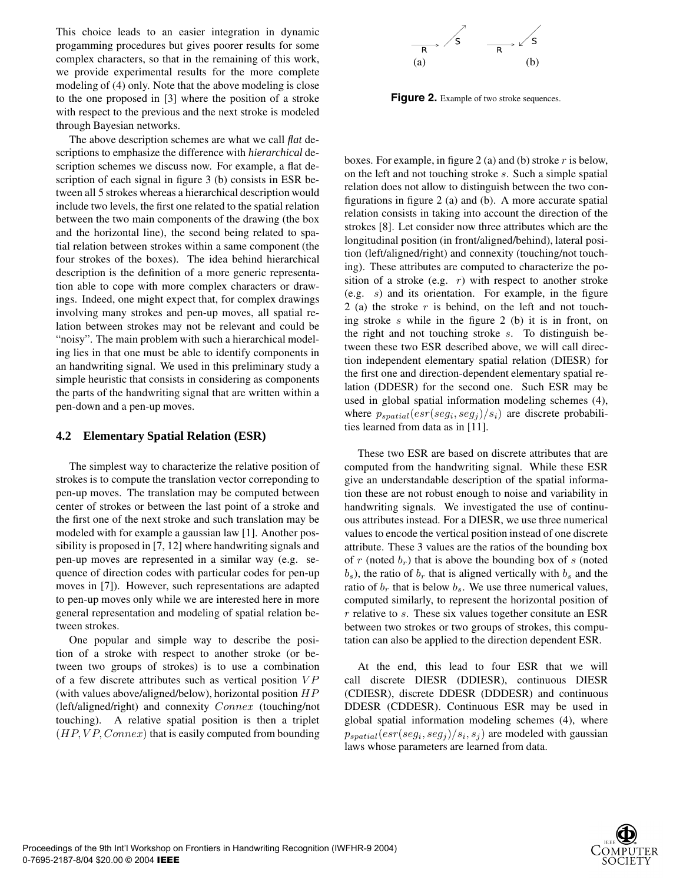This choice leads to an easier integration in dynamic progamming procedures but gives poorer results for some complex characters, so that in the remaining of this work, we provide experimental results for the more complete modeling of (4) only. Note that the above modeling is close to the one proposed in [3] where the position of a stroke with respect to the previous and the next stroke is modeled through Bayesian networks.

The above description schemes are what we call *flat* descriptions to emphasize the difference with *hierarchical* description schemes we discuss now. For example, a flat description of each signal in figure 3 (b) consists in ESR between all 5 strokes whereas a hierarchical description would include two levels, the first one related to the spatial relation between the two main components of the drawing (the box and the horizontal line), the second being related to spatial relation between strokes within a same component (the four strokes of the boxes). The idea behind hierarchical description is the definition of a more generic representation able to cope with more complex characters or drawings. Indeed, one might expect that, for complex drawings involving many strokes and pen-up moves, all spatial relation between strokes may not be relevant and could be "noisy". The main problem with such a hierarchical modeling lies in that one must be able to identify components in an handwriting signal. We used in this preliminary study a simple heuristic that consists in considering as components the parts of the handwriting signal that are written within a pen-down and a pen-up moves.

#### **4.2 Elementary Spatial Relation (ESR)**

The simplest way to characterize the relative position of strokes is to compute the translation vector correponding to pen-up moves. The translation may be computed between center of strokes or between the last point of a stroke and the first one of the next stroke and such translation may be modeled with for example a gaussian law [1]. Another possibility is proposed in [7, 12] where handwriting signals and pen-up moves are represented in a similar way (e.g. sequence of direction codes with particular codes for pen-up moves in [7]). However, such representations are adapted to pen-up moves only while we are interested here in more general representation and modeling of spatial relation between strokes.

One popular and simple way to describe the position of a stroke with respect to another stroke (or between two groups of strokes) is to use a combination of a few discrete attributes such as vertical position  $VP$ (with values above/aligned/below), horizontal position  $HP$ (left/aligned/right) and connexity  $Connect$  (touching/not touching). A relative spatial position is then a triplet A relative spatial position is then a triplet  $(HP, VP, Connect)$  that is easily computed from bounding



Figure 2. Example of two stroke sequences.

boxes. For example, in figure 2 (a) and (b) stroke  $r$  is below, on the left and not touching stroke s. Such a simple spatial relation does not allow to distinguish between the two configurations in figure 2 (a) and (b). A more accurate spatial relation consists in taking into account the direction of the strokes [8]. Let consider now three attributes which are the longitudinal position (in front/aligned/behind), lateral position (left/aligned/right) and connexity (touching/not touching). These attributes are computed to characterize the position of a stroke (e.g.  $r$ ) with respect to another stroke (e.g. s) and its orientation. For example, in the figure 2 (a) the stroke  $r$  is behind, on the left and not touching stroke s while in the figure 2 (b) it is in front, on the right and not touching stroke  $s$ . To distinguish between these two ESR described above, we will call direction independent elementary spatial relation (DIESR) for the first one and direction-dependent elementary spatial relation (DDESR) for the second one. Such ESR may be used in global spatial information modeling schemes (4), where  $p_{spatial}(esr(seg_i, seg_j)/s_i)$  are discrete probabilities learned from data as in [11].

These two ESR are based on discrete attributes that are computed from the handwriting signal. While these ESR give an understandable description of the spatial information these are not robust enough to noise and variability in handwriting signals. We investigated the use of continuous attributes instead. For a DIESR, we use three numerical values to encode the vertical position instead of one discrete attribute. These 3 values are the ratios of the bounding box of r (noted  $b_r$ ) that is above the bounding box of s (noted  $b<sub>s</sub>$ ), the ratio of  $b<sub>r</sub>$  that is aligned vertically with  $b<sub>s</sub>$  and the ratio of  $b_r$  that is below  $b_s$ . We use three numerical values, computed similarly, to represent the horizontal position of r relative to s. These six values together consitute an ESR between two strokes or two groups of strokes, this computation can also be applied to the direction dependent ESR.

At the end, this lead to four ESR that we will call discrete DIESR (DDIESR), continuous DIESR (CDIESR), discrete DDESR (DDDESR) and continuous DDESR (CDDESR). Continuous ESR may be used in global spatial information modeling schemes (4), where  $p_{spatial}(esr(seg_i, seg_j)/s_i, s_j)$  are modeled with gaussian laws whose parameters are learned from data.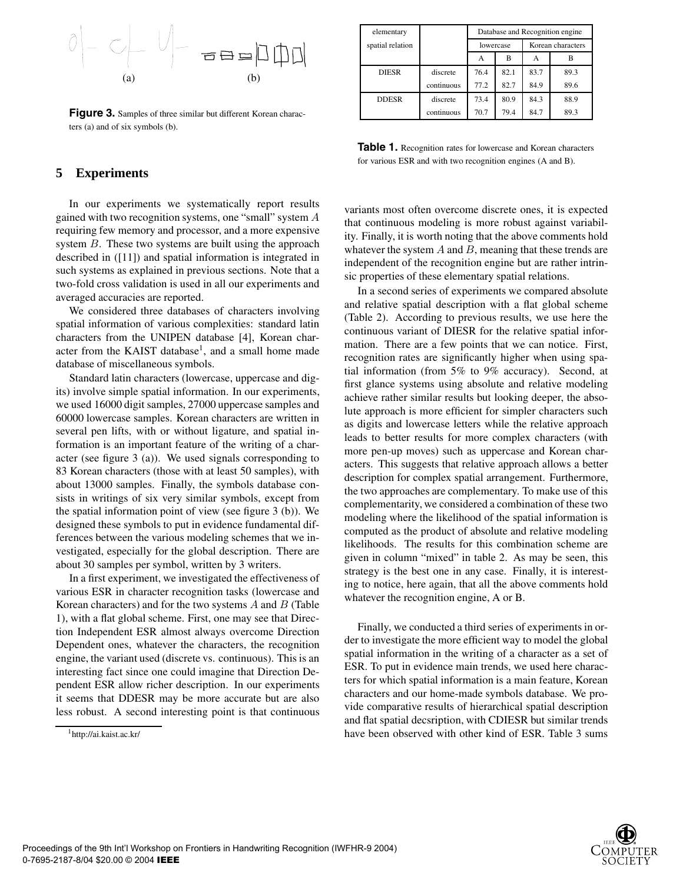

**Figure 3.** Samples of three similar but different Korean characters (a) and of six symbols (b).

# **5 Experiments**

In our experiments we systematically report results gained with two recognition systems, one "small" system A requiring few memory and processor, and a more expensive system B. These two systems are built using the approach described in ([11]) and spatial information is integrated in such systems as explained in previous sections. Note that a two-fold cross validation is used in all our experiments and averaged accuracies are reported.

We considered three databases of characters involving spatial information of various complexities: standard latin characters from the UNIPEN database [4], Korean character from the KAIST database<sup>1</sup>, and a small home made database of miscellaneous symbols.

Standard latin characters (lowercase, uppercase and digits) involve simple spatial information. In our experiments, we used 16000 digit samples, 27000 uppercase samples and 60000 lowercase samples. Korean characters are written in several pen lifts, with or without ligature, and spatial information is an important feature of the writing of a character (see figure 3 (a)). We used signals corresponding to 83 Korean characters (those with at least 50 samples), with about 13000 samples. Finally, the symbols database consists in writings of six very similar symbols, except from the spatial information point of view (see figure 3 (b)). We designed these symbols to put in evidence fundamental differences between the various modeling schemes that we investigated, especially for the global description. There are about 30 samples per symbol, written by 3 writers.

In a first experiment, we investigated the effectiveness of various ESR in character recognition tasks (lowercase and Korean characters) and for the two systems  $A$  and  $B$  (Table 1), with a flat global scheme. First, one may see that Direction Independent ESR almost always overcome Direction Dependent ones, whatever the characters, the recognition engine, the variant used (discrete vs. continuous). This is an interesting fact since one could imagine that Direction Dependent ESR allow richer description. In our experiments it seems that DDESR may be more accurate but are also less robust. A second interesting point is that continuous

| elementary       |            | Database and Recognition engine |           |                   |      |
|------------------|------------|---------------------------------|-----------|-------------------|------|
| spatial relation |            |                                 | lowercase | Korean characters |      |
|                  |            | А                               | в         | A                 | в    |
| <b>DIESR</b>     | discrete   | 76.4                            | 82.1      | 83.7              | 89.3 |
|                  | continuous | 77.2                            | 82.7      | 84.9              | 89.6 |
| <b>DDESR</b>     | discrete   | 73.4                            | 80.9      | 84.3              | 88.9 |
|                  | continuous | 70.7                            | 79.4      | 84.7              | 89.3 |

**Table 1.** Recognition rates for lowercase and Korean characters for various ESR and with two recognition engines (A and B).

variants most often overcome discrete ones, it is expected that continuous modeling is more robust against variability. Finally, it is worth noting that the above comments hold whatever the system  $A$  and  $B$ , meaning that these trends are independent of the recognition engine but are rather intrinsic properties of these elementary spatial relations.

In a second series of experiments we compared absolute and relative spatial description with a flat global scheme (Table 2). According to previous results, we use here the continuous variant of DIESR for the relative spatial information. There are a few points that we can notice. First, recognition rates are significantly higher when using spatial information (from 5% to 9% accuracy). Second, at first glance systems using absolute and relative modeling achieve rather similar results but looking deeper, the absolute approach is more efficient for simpler characters such as digits and lowercase letters while the relative approach leads to better results for more complex characters (with more pen-up moves) such as uppercase and Korean characters. This suggests that relative approach allows a better description for complex spatial arrangement. Furthermore, the two approaches are complementary. To make use of this complementarity, we considered a combination of these two modeling where the likelihood of the spatial information is computed as the product of absolute and relative modeling likelihoods. The results for this combination scheme are given in column "mixed" in table 2. As may be seen, this strategy is the best one in any case. Finally, it is interesting to notice, here again, that all the above comments hold whatever the recognition engine, A or B.

Finally, we conducted a third series of experiments in order to investigate the more efficient way to model the global spatial information in the writing of a character as a set of ESR. To put in evidence main trends, we used here characters for which spatial information is a main feature, Korean characters and our home-made symbols database. We provide comparative results of hierarchical spatial description and flat spatial decsription, with CDIESR but similar trends have been observed with other kind of ESR. Table 3 sums



<sup>1</sup>http://ai.kaist.ac.kr/